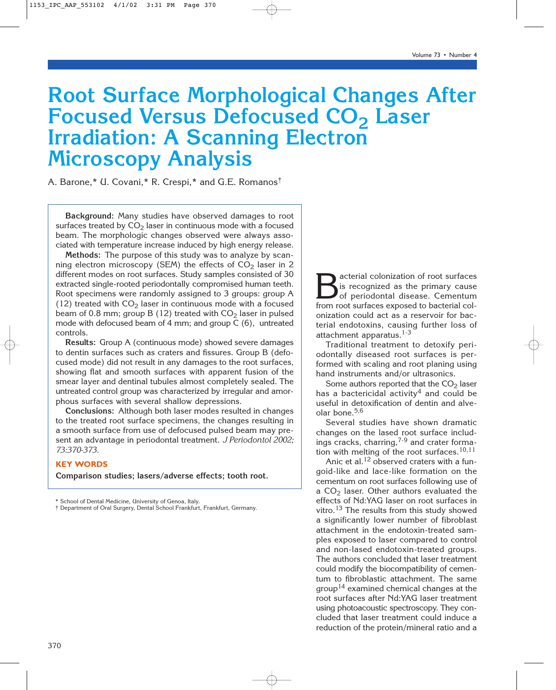# **Root Surface Morphological Changes After Focused Versus Defocused CO<sub>2</sub> Laser Irradiation: A Scanning Electron Microscopy Analysis**

A. Barone,\* U. Covani,\* R. Crespi,\* and G.E. Romanos†

**Background:** Many studies have observed damages to root surfaces treated by  $CO<sub>2</sub>$  laser in continuous mode with a focused beam. The morphologic changes observed were always associated with temperature increase induced by high energy release.

**Methods:** The purpose of this study was to analyze by scanning electron microscopy (SEM) the effects of  $CO<sub>2</sub>$  laser in 2 different modes on root surfaces. Study samples consisted of 30 extracted single-rooted periodontally compromised human teeth. Root specimens were randomly assigned to 3 groups: group A (12) treated with  $CO<sub>2</sub>$  laser in continuous mode with a focused beam of 0.8 mm; group B (12) treated with  $CO<sub>2</sub>$  laser in pulsed mode with defocused beam of 4 mm; and group C (6), untreated controls.

**Results:** Group A (continuous mode) showed severe damages to dentin surfaces such as craters and fissures. Group B (defocused mode) did not result in any damages to the root surfaces, showing flat and smooth surfaces with apparent fusion of the smear layer and dentinal tubules almost completely sealed. The untreated control group was characterized by irregular and amorphous surfaces with several shallow depressions.

**Conclusions:** Although both laser modes resulted in changes to the treated root surface specimens, the changes resulting in a smooth surface from use of defocused pulsed beam may present an advantage in periodontal treatment. *J Periodontol 2002; 73:370-373.*

# **KEY WORDS**

**Comparison studies; lasers/adverse effects; tooth root.**

Bacterial colonization of root surfaces<br>of periodontal disease. Cementum<br>from root surfaces exposed to bacterial colis recognized as the primary cause of periodontal disease. Cementum from root surfaces exposed to bacterial colonization could act as a reservoir for bacterial endotoxins, causing further loss of attachment apparatus.<sup>1-3</sup>

Traditional treatment to detoxify periodontally diseased root surfaces is performed with scaling and root planing using hand instruments and/or ultrasonics.

Some authors reported that the  $CO<sub>2</sub>$  laser has a bactericidal activity<sup>4</sup> and could be useful in detoxification of dentin and alveolar bone.<sup>5,6</sup>

Several studies have shown dramatic changes on the lased root surface includings cracks, charring,<sup>7-9</sup> and crater formation with melting of the root surfaces.<sup>10,11</sup>

Anic et al.<sup>12</sup> observed craters with a fungoid-like and lace-like formation on the cementum on root surfaces following use of a  $CO<sub>2</sub>$  laser. Other authors evaluated the effects of Nd:YAG laser on root surfaces in vitro.<sup>13</sup> The results from this study showed a significantly lower number of fibroblast attachment in the endotoxin-treated samples exposed to laser compared to control and non-lased endotoxin-treated groups. The authors concluded that laser treatment could modify the biocompatibility of cementum to fibroblastic attachment. The same group<sup>14</sup> examined chemical changes at the root surfaces after Nd:YAG laser treatment using photoacoustic spectroscopy. They concluded that laser treatment could induce a reduction of the protein/mineral ratio and a

School of Dental Medicine, University of Genoa, Italy.

<sup>†</sup> Department of Oral Surgery, Dental School Frankfurt, Frankfurt, Germany.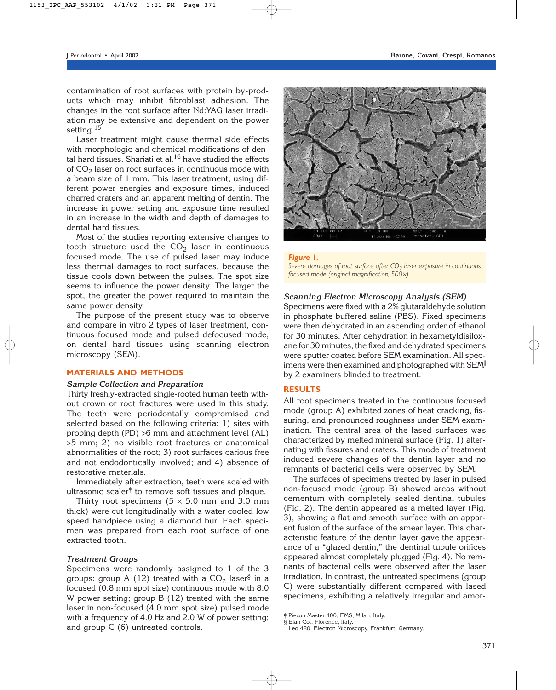contamination of root surfaces with protein by-products which may inhibit fibroblast adhesion. The changes in the root surface after Nd:YAG laser irradiation may be extensive and dependent on the power setting.<sup>15</sup>

Laser treatment might cause thermal side effects with morphologic and chemical modifications of dental hard tissues. Shariati et al. $16$  have studied the effects of  $CO<sub>2</sub>$  laser on root surfaces in continuous mode with a beam size of 1 mm. This laser treatment, using different power energies and exposure times, induced charred craters and an apparent melting of dentin. The increase in power setting and exposure time resulted in an increase in the width and depth of damages to dental hard tissues.

Most of the studies reporting extensive changes to tooth structure used the  $CO<sub>2</sub>$  laser in continuous focused mode. The use of pulsed laser may induce less thermal damages to root surfaces, because the tissue cools down between the pulses. The spot size seems to influence the power density. The larger the spot, the greater the power required to maintain the same power density.

The purpose of the present study was to observe and compare in vitro 2 types of laser treatment, continuous focused mode and pulsed defocused mode, on dental hard tissues using scanning electron microscopy (SEM).

# **MATERIALS AND METHODS**

#### *Sample Collection and Preparation*

Thirty freshly-extracted single-rooted human teeth without crown or root fractures were used in this study. The teeth were periodontally compromised and selected based on the following criteria: 1) sites with probing depth (PD) >6 mm and attachment level (AL) >5 mm; 2) no visible root fractures or anatomical abnormalities of the root; 3) root surfaces carious free and not endodontically involved; and 4) absence of restorative materials.

Immediately after extraction, teeth were scaled with ultrasonic scaler<sup> $\dagger$ </sup> to remove soft tissues and plaque.

Thirty root specimens ( $5 \times 5.0$  mm and 3.0 mm thick) were cut longitudinally with a water cooled-low speed handpiece using a diamond bur. Each specimen was prepared from each root surface of one extracted tooth.

#### *Treatment Groups*

Specimens were randomly assigned to 1 of the 3 groups: group A (12) treated with a  $CO<sub>2</sub>$  laser<sup>§</sup> in a focused (0.8 mm spot size) continuous mode with 8.0 W power setting; group B (12) treated with the same laser in non-focused (4.0 mm spot size) pulsed mode with a frequency of 4.0 Hz and 2.0 W of power setting; and group C (6) untreated controls.



*Figure 1. Severe damages of root surface after CO2 laser exposure in continuous focused mode (original magnification, 500*×*).*

### *Scanning Electron Microscopy Analysis (SEM)*

Specimens were fixed with a 2% glutaraldehyde solution in phosphate buffered saline (PBS). Fixed specimens were then dehydrated in an ascending order of ethanol for 30 minutes. After dehydration in hexametyldisiloxane for 30 minutes, the fixed and dehydrated specimens were sputter coated before SEM examination. All specimens were then examined and photographed with SEM by 2 examiners blinded to treatment.

#### **RESULTS**

All root specimens treated in the continuous focused mode (group A) exhibited zones of heat cracking, fissuring, and pronounced roughness under SEM examination. The central area of the lased surfaces was characterized by melted mineral surface (Fig. 1) alternating with fissures and craters. This mode of treatment induced severe changes of the dentin layer and no remnants of bacterial cells were observed by SEM.

The surfaces of specimens treated by laser in pulsed non-focused mode (group B) showed areas without cementum with completely sealed dentinal tubules (Fig. 2). The dentin appeared as a melted layer (Fig. 3), showing a flat and smooth surface with an apparent fusion of the surface of the smear layer. This characteristic feature of the dentin layer gave the appearance of a "glazed dentin," the dentinal tubule orifices appeared almost completely plugged (Fig. 4). No remnants of bacterial cells were observed after the laser irradiation. In contrast, the untreated specimens (group C) were substantially different compared with lased specimens, exhibiting a relatively irregular and amor-

<sup>‡</sup> Piezon Master 400, EMS, Milan, Italy.

<sup>§</sup> Elan Co., Florence, Italy. Leo 420, Electron Microscopy, Frankfurt, Germany.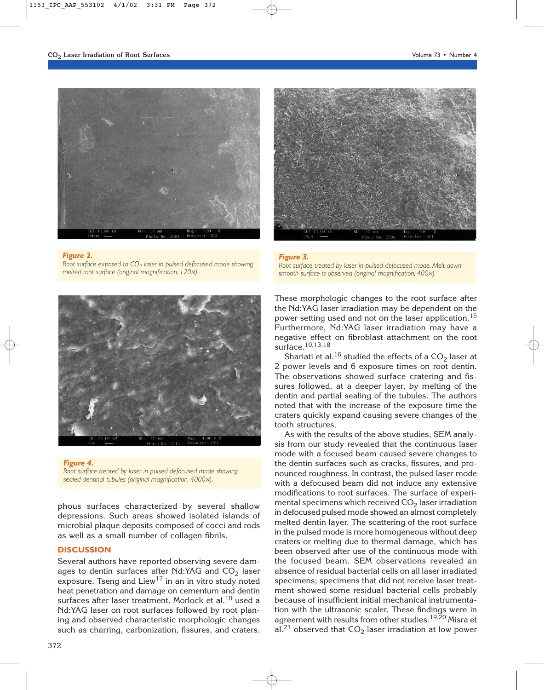

## *Figure 2.*

*Root surface exposed to CO2 laser in pulsed defocused mode showing melted root surface (original magnification, 120*×*).*



*Figure 4. Root surface treated by laser in pulsed defocused mode showing sealed dentinal tubules (original magnification, 4000*×*).*

phous surfaces characterized by several shallow depressions. Such areas showed isolated islands of microbial plaque deposits composed of cocci and rods as well as a small number of collagen fibrils.

## **DISCUSSION**

Several authors have reported observing severe damages to dentin surfaces after Nd:YAG and  $CO<sub>2</sub>$  laser exposure. Tseng and Liew<sup>17</sup> in an in vitro study noted heat penetration and damage on cementum and dentin surfaces after laser treatment. Morlock et al.<sup>10</sup> used a Nd:YAG laser on root surfaces followed by root planing and observed characteristic morphologic changes such as charring, carbonization, fissures, and craters.



*Figure 3. Root surface treated by laser in pulsed defocused mode. Melt-down smooth surface is observed (original magnification, 400*×*).*

These morphologic changes to the root surface after the Nd:YAG laser irradiation may be dependent on the power setting used and not on the laser application.<sup>15</sup> Furthermore, Nd:YAG laser irradiation may have a negative effect on fibroblast attachment on the root surface.10,13,18

Shariati et al.<sup>16</sup> studied the effects of a  $CO<sub>2</sub>$  laser at 2 power levels and 6 exposure times on root dentin. The observations showed surface cratering and fissures followed, at a deeper layer, by melting of the dentin and partial sealing of the tubules. The authors noted that with the increase of the exposure time the craters quickly expand causing severe changes of the tooth structures.

As with the results of the above studies, SEM analysis from our study revealed that the continuous laser mode with a focused beam caused severe changes to the dentin surfaces such as cracks, fissures, and pronounced roughness. In contrast, the pulsed laser mode with a defocused beam did not induce any extensive modifications to root surfaces. The surface of experimental specimens which received  $CO<sub>2</sub>$  laser irradiation in defocused pulsed mode showed an almost completely melted dentin layer. The scattering of the root surface in the pulsed mode is more homogeneous without deep craters or melting due to thermal damage, which has been observed after use of the continuous mode with the focused beam. SEM observations revealed an absence of residual bacterial cells on all laser irradiated specimens; specimens that did not receive laser treatment showed some residual bacterial cells probably because of insufficient initial mechanical instrumentation with the ultrasonic scaler. These findings were in agreement with results from other studies.<sup>19,20</sup> Misra et al.<sup>21</sup> observed that  $CO<sub>2</sub>$  laser irradiation at low power